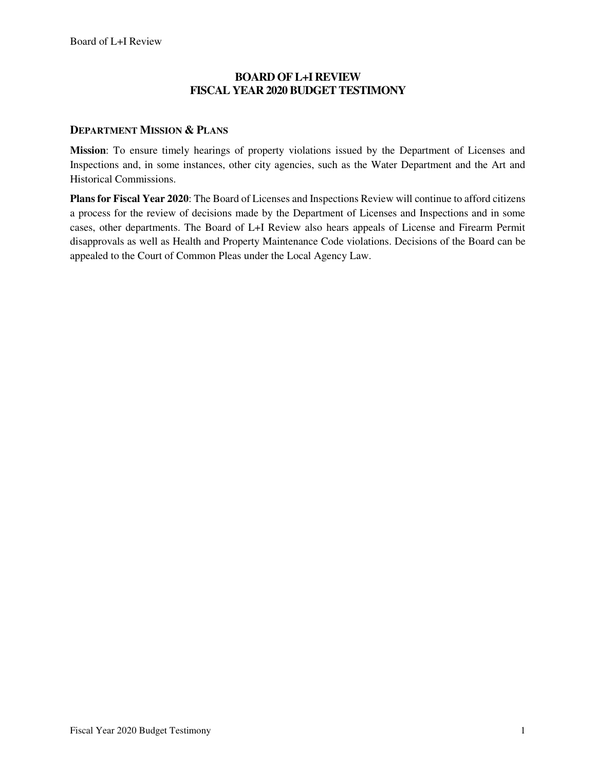### **BOARD OF L+I REVIEW FISCAL YEAR 2020 BUDGET TESTIMONY**

#### **DEPARTMENT MISSION & PLANS**

**Mission**: To ensure timely hearings of property violations issued by the Department of Licenses and Inspections and, in some instances, other city agencies, such as the Water Department and the Art and Historical Commissions.

**Plans for Fiscal Year 2020**: The Board of Licenses and Inspections Review will continue to afford citizens a process for the review of decisions made by the Department of Licenses and Inspections and in some cases, other departments. The Board of L+I Review also hears appeals of License and Firearm Permit disapprovals as well as Health and Property Maintenance Code violations. Decisions of the Board can be appealed to the Court of Common Pleas under the Local Agency Law.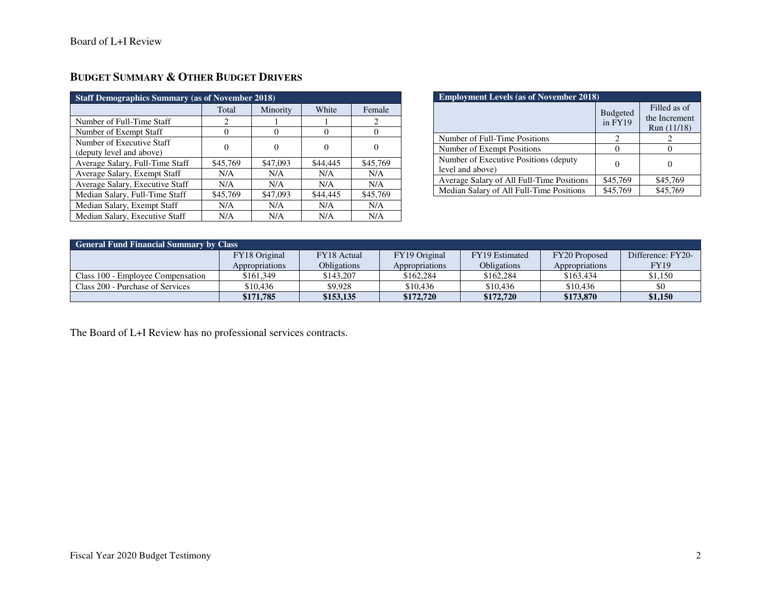| <b>Staff Demographics Summary (as of November 2018)</b> |          |          |          |          |  |
|---------------------------------------------------------|----------|----------|----------|----------|--|
|                                                         | Total    | Minority | White    | Female   |  |
| Number of Full-Time Staff                               | 2        |          |          |          |  |
| Number of Exempt Staff                                  | 0        | 0        | $\theta$ |          |  |
| Number of Executive Staff<br>(deputy level and above)   | $\Omega$ | $\theta$ | 0        |          |  |
| Average Salary, Full-Time Staff                         | \$45,769 | \$47,093 | \$44,445 | \$45,769 |  |
| Average Salary, Exempt Staff                            | N/A      | N/A      | N/A      | N/A      |  |
| Average Salary, Executive Staff                         | N/A      | N/A      | N/A      | N/A      |  |
| Median Salary, Full-Time Staff                          | \$45,769 | \$47,093 | \$44,445 | \$45,769 |  |
| Median Salary, Exempt Staff                             | N/A      | N/A      | N/A      | N/A      |  |
| Median Salary, Executive Staff                          | N/A      | N/A      | N/A      | N/A      |  |

# **BUDGET SUMMARY & OTHER BUDGET DRIVERS**

| <b>Employment Levels (as of November 2018)</b>             |                            |                                              |  |  |  |
|------------------------------------------------------------|----------------------------|----------------------------------------------|--|--|--|
|                                                            | <b>Budgeted</b><br>in FY19 | Filled as of<br>the Increment<br>Run (11/18) |  |  |  |
| Number of Full-Time Positions                              | 2                          |                                              |  |  |  |
| Number of Exempt Positions                                 |                            |                                              |  |  |  |
| Number of Executive Positions (deputy)<br>level and above) |                            |                                              |  |  |  |
| Average Salary of All Full-Time Positions                  | \$45,769                   | \$45,769                                     |  |  |  |
| Median Salary of All Full-Time Positions                   | \$45,769                   | \$45,769                                     |  |  |  |

| <b>General Fund Financial Summary by Class</b> |                |             |                       |                |                |                   |
|------------------------------------------------|----------------|-------------|-----------------------|----------------|----------------|-------------------|
|                                                | FY18 Original  | FY18 Actual | FY19 Original         | FY19 Estimated | FY20 Proposed  | Difference: FY20- |
|                                                | Appropriations | Obligations | <i>Appropriations</i> | Obligations    | Appropriations | <b>FY19</b>       |
| Class 100 - Employee Compensation              | \$161.349      | \$143,207   | \$162,284             | \$162,284      | \$163.434      | \$1,150           |
| Class 200 - Purchase of Services               | \$10,436       | \$9.928     | \$10,436              | \$10,436       | \$10,436       | \$0               |
|                                                | \$171,785      | \$153,135   | \$172,720             | \$172,720      | \$173,870      | \$1,150           |

The Board of L+I Review has no professional services contracts.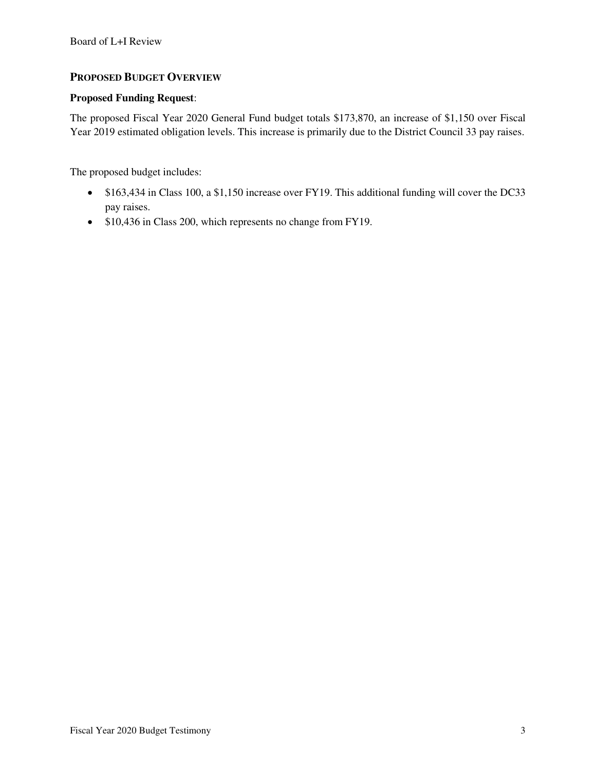### **PROPOSED BUDGET OVERVIEW**

#### **Proposed Funding Request**:

The proposed Fiscal Year 2020 General Fund budget totals \$173,870, an increase of \$1,150 over Fiscal Year 2019 estimated obligation levels. This increase is primarily due to the District Council 33 pay raises.

The proposed budget includes:

- \$163,434 in Class 100, a \$1,150 increase over FY19. This additional funding will cover the DC33 pay raises.
- \$10,436 in Class 200, which represents no change from FY19.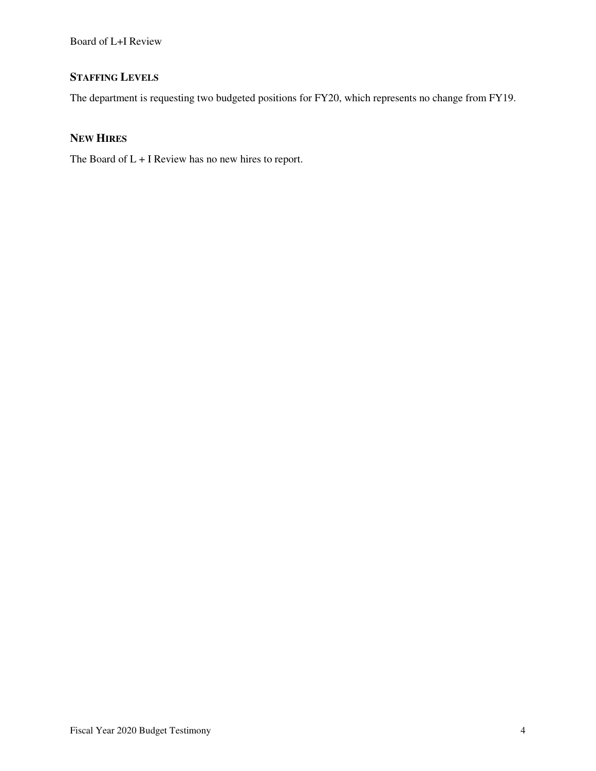# **STAFFING LEVELS**

The department is requesting two budgeted positions for FY20, which represents no change from FY19.

### **NEW HIRES**

The Board of L + I Review has no new hires to report.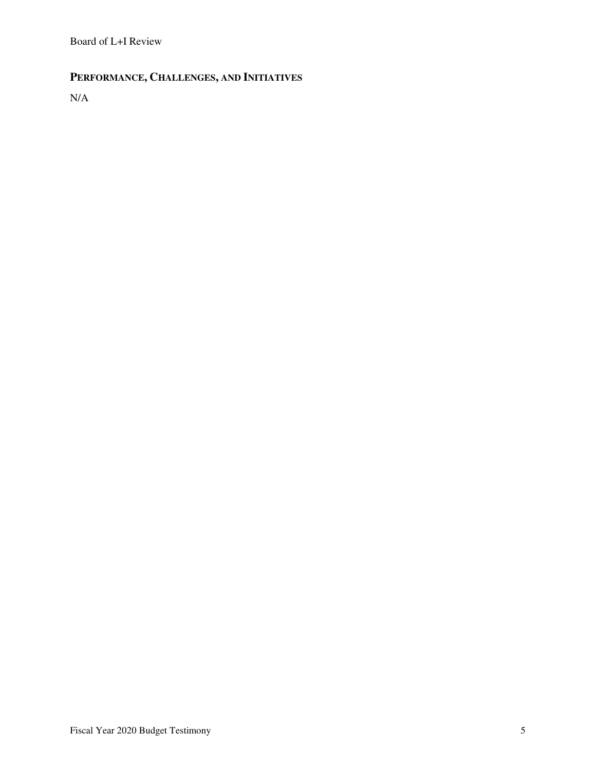# **PERFORMANCE, CHALLENGES, AND INITIATIVES**

N/A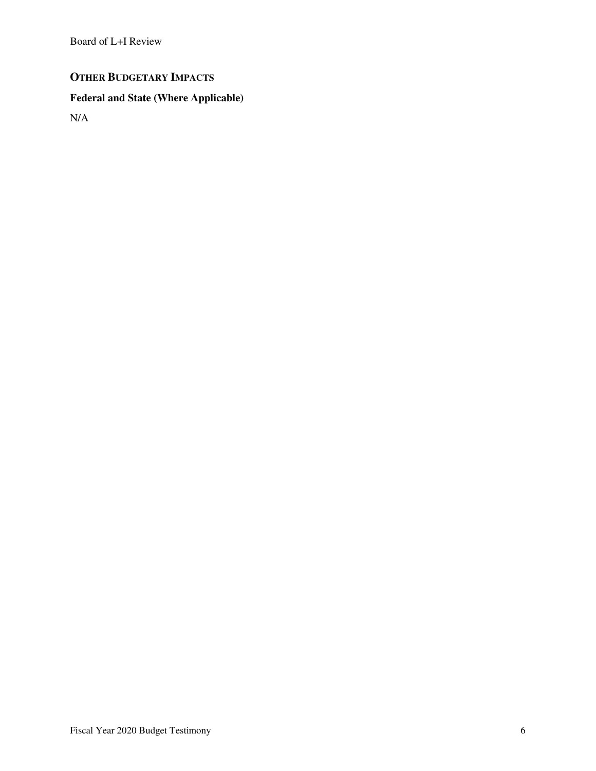# **OTHER BUDGETARY IMPACTS**

# **Federal and State (Where Applicable)**

N/A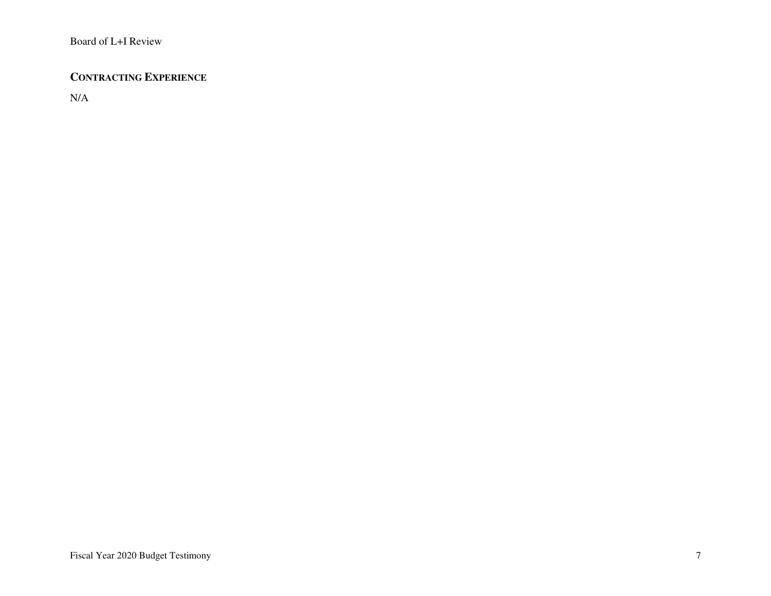## **CONTRACTING EXPERIENCE**

N/A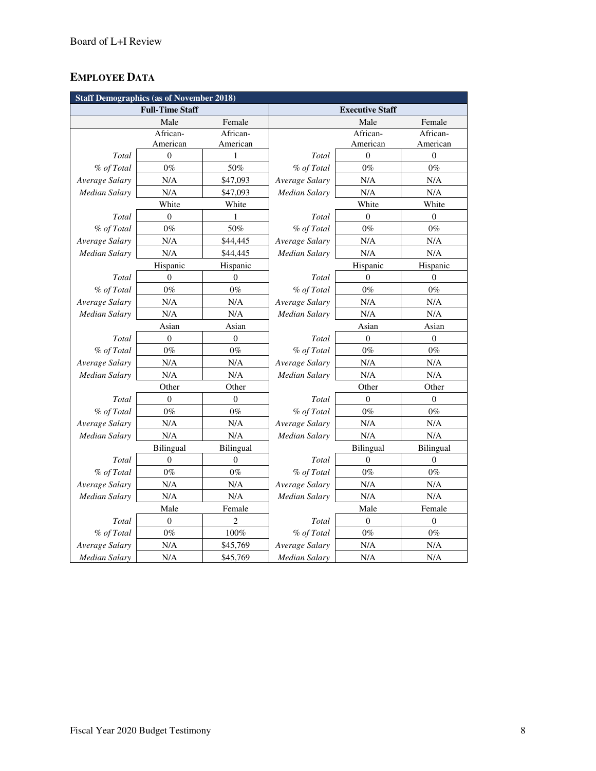# **EMPLOYEE DATA**

| <b>Staff Demographics (as of November 2018)</b> |                  |                |                        |                  |                  |
|-------------------------------------------------|------------------|----------------|------------------------|------------------|------------------|
| <b>Full-Time Staff</b>                          |                  |                | <b>Executive Staff</b> |                  |                  |
|                                                 | Male             | Female         |                        | Male             | Female           |
|                                                 | African-         | African-       |                        | African-         | African-         |
|                                                 | American         | American       |                        | American         | American         |
| Total                                           | $\overline{0}$   | $\mathbf{1}$   | <b>Total</b>           | $\theta$         | $\mathbf{0}$     |
| % of Total                                      | $0\%$            | 50%            | % of Total             | $0\%$            | $0\%$            |
| Average Salary                                  | N/A              | \$47,093       | Average Salary         | N/A              | N/A              |
| <b>Median Salary</b>                            | N/A              | \$47,093       | Median Salary          | N/A              | N/A              |
|                                                 | White            | White          |                        | White            | White            |
| Total                                           | $\overline{0}$   | 1              | Total                  | $\mathbf{0}$     | $\theta$         |
| % of Total                                      | $0\%$            | 50%            | % of Total             | $0\%$            | $0\%$            |
| Average Salary                                  | N/A              | \$44,445       | Average Salary         | N/A              | N/A              |
| <b>Median Salary</b>                            | N/A              | \$44,445       | <b>Median Salary</b>   | N/A              | N/A              |
|                                                 | Hispanic         | Hispanic       |                        | Hispanic         | Hispanic         |
| Total                                           | $\overline{0}$   | $\overline{0}$ | Total                  | $\theta$         | $\theta$         |
| % of Total                                      | $0\%$            | $0\%$          | % of Total             | $0\%$            | $0\%$            |
| Average Salary                                  | N/A              | N/A            | Average Salary         | N/A              | $\rm N/A$        |
| <b>Median Salary</b>                            | N/A              | N/A            | Median Salary          | N/A              | N/A              |
|                                                 | Asian            | Asian          |                        | Asian            | Asian            |
| Total                                           | $\overline{0}$   | $\theta$       | Total                  | $\mathbf{0}$     | $\mathbf{0}$     |
| % of Total                                      | $0\%$            | $0\%$          | % of Total             | $0\%$            | $0\%$            |
| Average Salary                                  | $\rm N/A$        | N/A            | Average Salary         | $\rm N/A$        | $\rm N/A$        |
| Median Salary                                   | N/A              | N/A            | Median Salary          | N/A              | N/A              |
|                                                 | Other            | Other          |                        | Other            | Other            |
| Total                                           | $\overline{0}$   | $\overline{0}$ | Total                  | $\Omega$         | $\mathbf{0}$     |
| % of Total                                      | $0\%$            | $0\%$          | % of Total             | $0\%$            | $0\%$            |
| Average Salary                                  | N/A              | N/A            | Average Salary         | N/A              | N/A              |
| Median Salary                                   | N/A              | N/A            | <b>Median Salary</b>   | N/A              | N/A              |
|                                                 | Bilingual        | Bilingual      |                        | Bilingual        | Bilingual        |
| Total                                           | $\overline{0}$   | $\theta$       | Total                  | $\mathbf{0}$     | $\theta$         |
| % of Total                                      | $0\%$            | $0\%$          | % of Total             | $0\%$            | $0\%$            |
| Average Salary                                  | N/A              | N/A            | Average Salary         | N/A              | N/A              |
| Median Salary                                   | N/A              | N/A            | Median Salary          | N/A              | N/A              |
|                                                 | Male             | Female         |                        | Male             | Female           |
| Total                                           | $\boldsymbol{0}$ | $\overline{c}$ | Total                  | $\boldsymbol{0}$ | $\boldsymbol{0}$ |
| % of Total                                      | $0\%$            | $100\%$        | % of Total             | $0\%$            | $0\%$            |
| Average Salary                                  | N/A              | \$45,769       | Average Salary         | N/A              | N/A              |
| <b>Median Salary</b>                            | N/A              | \$45,769       | <b>Median Salary</b>   | N/A              | N/A              |